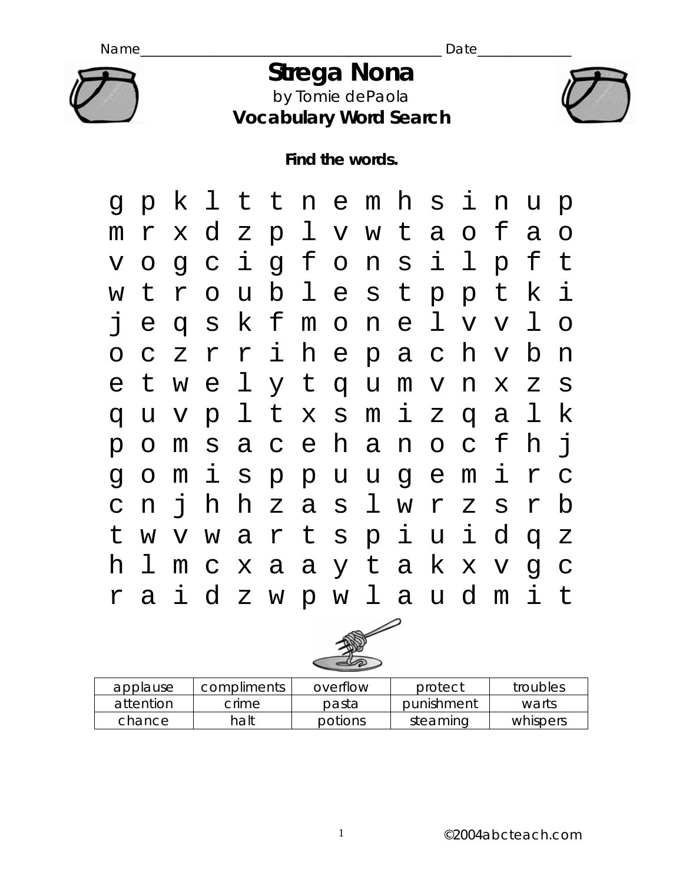

### *Strega Nona*  by Tomie dePaola **Vocabulary Word Search**



**Find the words.** 





| applause  | compliments | overflow | protect    | troubles |
|-----------|-------------|----------|------------|----------|
| attention | crime.      | pasta    | punishment | warts    |
| chance    | halt        | potions  | steaming   | whispers |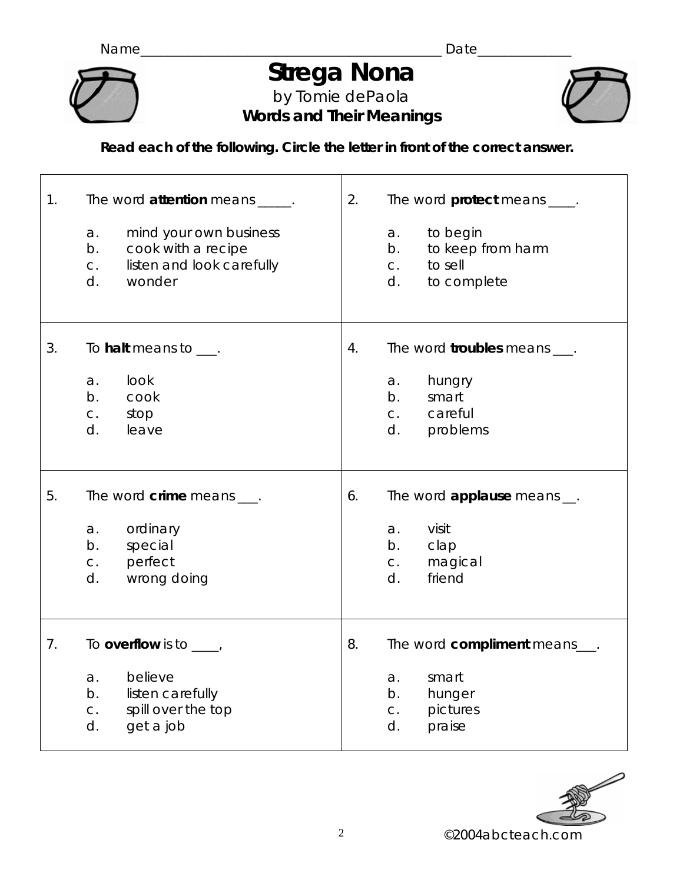

# *Strega Nona*

by Tomie dePaola **Words and Their Meanings** 



**Read each of the following. Circle the letter in front of the correct answer.** 

| 1. | The word attention means _____.<br>mind your own business<br>a.<br>cook with a recipe<br>b.<br>listen and look carefully<br>C.<br>d.<br>wonder | 2. | The word <b>protect</b> means ____.<br>to begin<br>a.<br>to keep from harm<br>b.<br>to sell<br>C.<br>d.<br>to complete |
|----|------------------------------------------------------------------------------------------------------------------------------------------------|----|------------------------------------------------------------------------------------------------------------------------|
| 3. | To <b>halt</b> means to $\_\_\$ .                                                                                                              | 4. | The word troubles means ___.                                                                                           |
|    | look<br>a.<br>b.<br>cook<br>stop<br>C.<br>d.<br>leave                                                                                          |    | hungry<br>a.<br>b.<br>smart<br>careful<br>C <sub>1</sub><br>d.<br>problems                                             |
| 5. | The word $\dim e$ means $\frac{1}{\pi}$ .<br>ordinary<br>a.<br>special<br>b.<br>perfect<br>C.<br>wrong doing<br>d.                             | 6. | The word applause means __.<br>visit<br>a.<br>b.<br>clap<br>magical<br>C.<br>d.<br>friend                              |
| 7. | To overflow is to $\frac{1}{1-\epsilon}$<br>believe<br>a.<br>listen carefully<br>b.<br>spill over the top<br>$C$ .<br>get a job<br>d.          | 8. | The word compliment means___.<br>smart<br>a.<br>b.<br>hunger<br>pictures<br>C.<br>d.<br>praise                         |

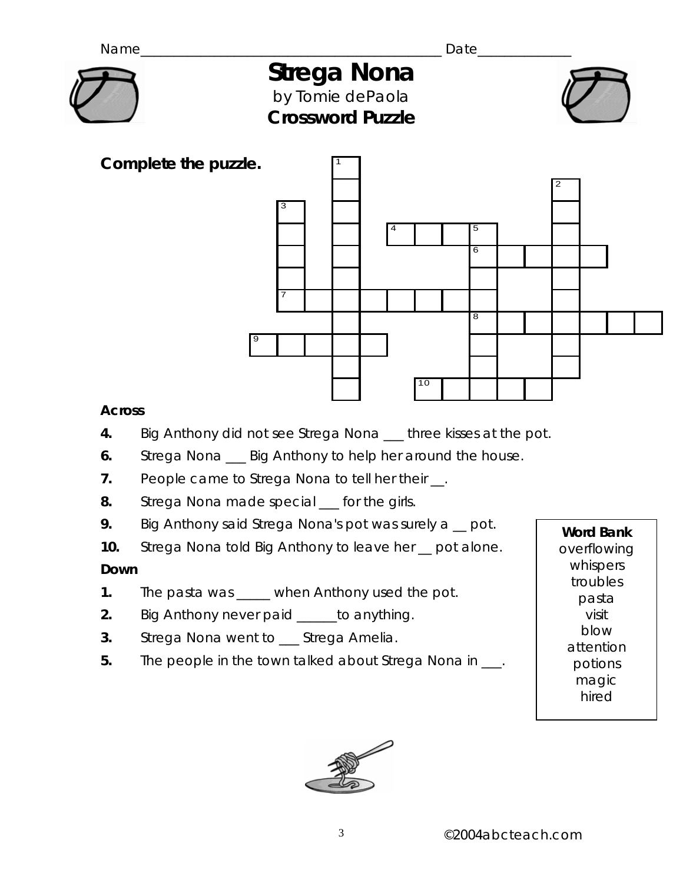

## *Strega Nona*  by Tomie dePaola



**Crossword Puzzle** 



#### **Across**

- **4.** Big Anthony did not see Strega Nona \_\_\_ three kisses at the pot.
- **6.** Strega Nona \_\_\_ Big Anthony to help her around the house.
- **7.** People came to Strega Nona to tell her their \_\_.
- **8.** Strega Nona made special \_\_\_ for the girls.
- **9.** Big Anthony said Strega Nona's pot was surely a pot.
- **10.** Strega Nona told Big Anthony to leave her \_\_ pot alone.

#### **Down**

- **1.** The pasta was \_\_\_\_\_ when Anthony used the pot.
- **2.** Big Anthony never paid \_\_\_\_\_\_to anything.
- **3.** Strega Nona went to \_\_\_ Strega Amelia.
- **5.** The people in the town talked about Strega Nona in \_\_\_.

**Word Bank**  overflowing whispers troubles pasta visit blow attention potions magic hired

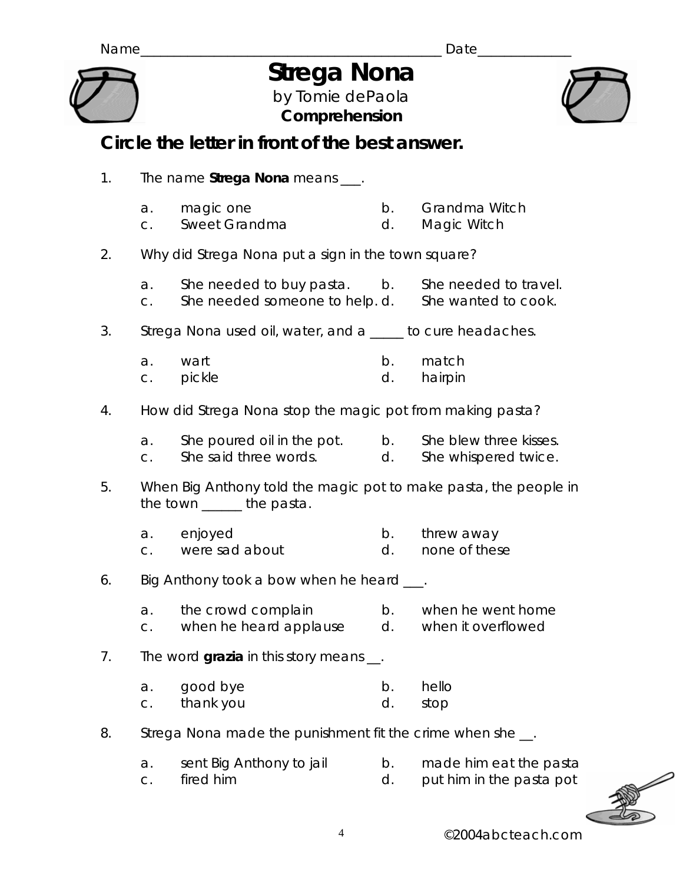## *Strega Nona*

by Tomie dePaola **Comprehension** 



### **Circle the letter in front of the best answer.**

1. The name **Strega Nona** means \_\_\_. a. magic one b. Grandma Witch c. Sweet Grandma d. Magic Witch 2. Why did Strega Nona put a sign in the town square? a. She needed to buy pasta. b. She needed to travel. c. She needed someone to help. d. She wanted to cook. 3. Strega Nona used oil, water, and a \_\_\_\_\_ to cure headaches. a. wart b. match c. pickle **d.** hairpin 4. How did Strega Nona stop the magic pot from making pasta? a. She poured oil in the pot. b. She blew three kisses. c. She said three words. d. She whispered twice. 5. When Big Anthony told the magic pot to make pasta, the people in the town the pasta. a. enjoyed b. threw away c. were sad about d. none of these 6. Big Anthony took a bow when he heard \_\_\_. a. the crowd complain b. when he went home c. when he heard applause d. when it overflowed 7. The word **grazia** in this story means \_\_. a. good bye b. hello c. thank you d. stop 8. Strega Nona made the punishment fit the crime when she \_\_. a. sent Big Anthony to jail b. made him eat the pasta c. fired him d. put him in the pasta pot

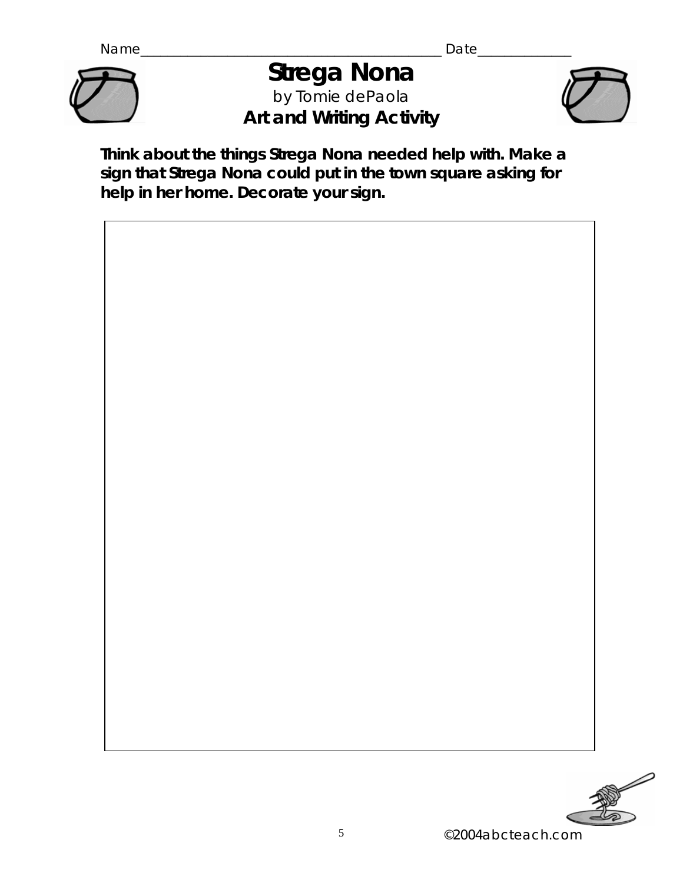

## *Strega Nona*  by Tomie dePaola **Art and Writing Activity**



**Think about the things Strega Nona needed help with. Make a sign that Strega Nona could put in the town square asking for help in her home. Decorate your sign.** 





©2004abcteach.com 5